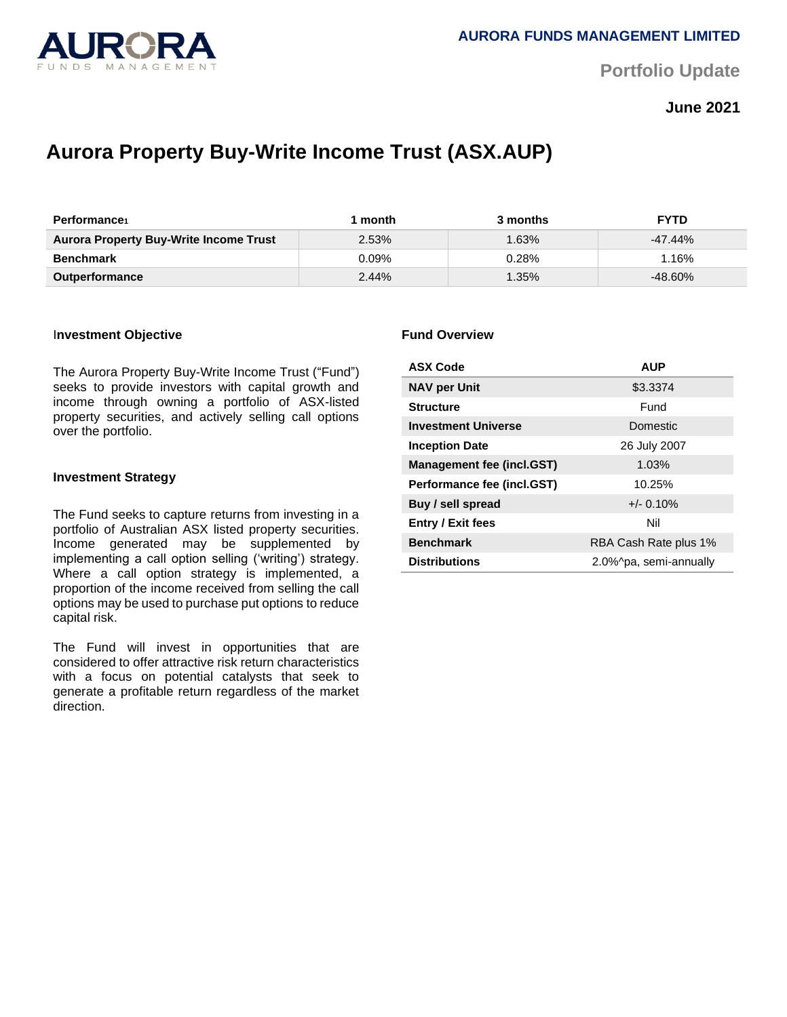

**Portfolio Update** 

**June 2021**

# **Aurora Property Buy-Write Income Trust (ASX.AUP)**

| Performance                                   | month    | 3 months | <b>FYTD</b> |
|-----------------------------------------------|----------|----------|-------------|
| <b>Aurora Property Buy-Write Income Trust</b> | 2.53%    | $.63\%$  | $-47.44\%$  |
| <b>Benchmark</b>                              | $0.09\%$ | 0.28%    | .16%        |
| <b>Outperformance</b>                         | 2.44%    | $1.35\%$ | -48.60%     |

### I**nvestment Objective**

The Aurora Property Buy-Write Income Trust ("Fund") seeks to provide investors with capital growth and income through owning a portfolio of ASX-listed property securities, and actively selling call options over the portfolio.

### **Investment Strategy**

The Fund seeks to capture returns from investing in a portfolio of Australian ASX listed property securities. Income generated may be supplemented by implementing a call option selling ('writing') strategy. Where a call option strategy is implemented, a proportion of the income received from selling the call options may be used to purchase put options to reduce capital risk.

The Fund will invest in opportunities that are considered to offer attractive risk return characteristics with a focus on potential catalysts that seek to generate a profitable return regardless of the market direction.

### **Fund Overview**

| <b>ASX Code</b>                  | <b>AUP</b>             |  |
|----------------------------------|------------------------|--|
| <b>NAV per Unit</b>              | \$3.3374               |  |
| <b>Structure</b>                 | Fund                   |  |
| <b>Investment Universe</b>       | Domestic               |  |
| <b>Inception Date</b>            | 26 July 2007           |  |
| <b>Management fee (incl.GST)</b> | 1.03%                  |  |
| Performance fee (incl.GST)       | 10.25%                 |  |
| Buy / sell spread                | $+/- 0.10%$            |  |
| <b>Entry / Exit fees</b>         | Nil                    |  |
| <b>Benchmark</b>                 | RBA Cash Rate plus 1%  |  |
| <b>Distributions</b>             | 2.0%^pa, semi-annually |  |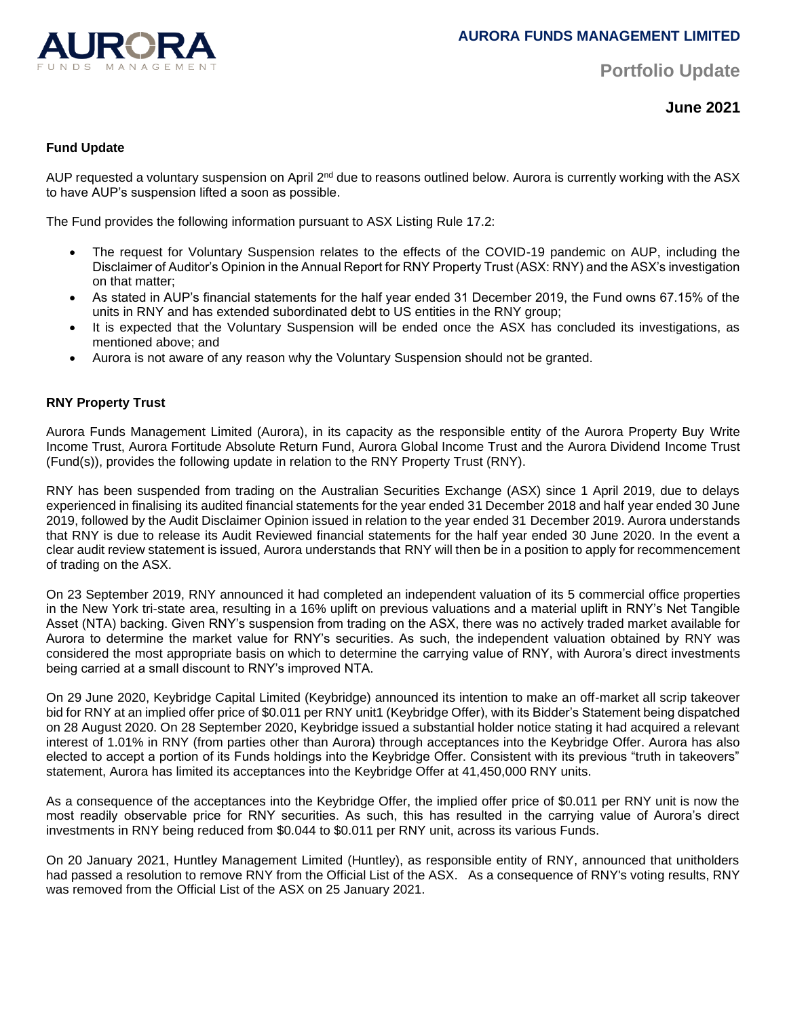

**Portfolio Update** 

**June 2021**

# **Fund Update**

AUP requested a voluntary suspension on April 2<sup>nd</sup> due to reasons outlined below. Aurora is currently working with the ASX to have AUP's suspension lifted a soon as possible.

The Fund provides the following information pursuant to ASX Listing Rule 17.2:

- The request for Voluntary Suspension relates to the effects of the COVID-19 pandemic on AUP, including the Disclaimer of Auditor's Opinion in the Annual Report for RNY Property Trust (ASX: RNY) and the ASX's investigation on that matter;
- As stated in AUP's financial statements for the half year ended 31 December 2019, the Fund owns 67.15% of the units in RNY and has extended subordinated debt to US entities in the RNY group;
- It is expected that the Voluntary Suspension will be ended once the ASX has concluded its investigations, as mentioned above; and
- Aurora is not aware of any reason why the Voluntary Suspension should not be granted.

# **RNY Property Trust**

Aurora Funds Management Limited (Aurora), in its capacity as the responsible entity of the Aurora Property Buy Write Income Trust, Aurora Fortitude Absolute Return Fund, Aurora Global Income Trust and the Aurora Dividend Income Trust (Fund(s)), provides the following update in relation to the RNY Property Trust (RNY).

RNY has been suspended from trading on the Australian Securities Exchange (ASX) since 1 April 2019, due to delays experienced in finalising its audited financial statements for the year ended 31 December 2018 and half year ended 30 June 2019, followed by the Audit Disclaimer Opinion issued in relation to the year ended 31 December 2019. Aurora understands that RNY is due to release its Audit Reviewed financial statements for the half year ended 30 June 2020. In the event a clear audit review statement is issued, Aurora understands that RNY will then be in a position to apply for recommencement of trading on the ASX.

On 23 September 2019, RNY announced it had completed an independent valuation of its 5 commercial office properties in the New York tri-state area, resulting in a 16% uplift on previous valuations and a material uplift in RNY's Net Tangible Asset (NTA) backing. Given RNY's suspension from trading on the ASX, there was no actively traded market available for Aurora to determine the market value for RNY's securities. As such, the independent valuation obtained by RNY was considered the most appropriate basis on which to determine the carrying value of RNY, with Aurora's direct investments being carried at a small discount to RNY's improved NTA.

On 29 June 2020, Keybridge Capital Limited (Keybridge) announced its intention to make an off-market all scrip takeover bid for RNY at an implied offer price of \$0.011 per RNY unit1 (Keybridge Offer), with its Bidder's Statement being dispatched on 28 August 2020. On 28 September 2020, Keybridge issued a substantial holder notice stating it had acquired a relevant interest of 1.01% in RNY (from parties other than Aurora) through acceptances into the Keybridge Offer. Aurora has also elected to accept a portion of its Funds holdings into the Keybridge Offer. Consistent with its previous "truth in takeovers" statement, Aurora has limited its acceptances into the Keybridge Offer at 41,450,000 RNY units.

As a consequence of the acceptances into the Keybridge Offer, the implied offer price of \$0.011 per RNY unit is now the most readily observable price for RNY securities. As such, this has resulted in the carrying value of Aurora's direct investments in RNY being reduced from \$0.044 to \$0.011 per RNY unit, across its various Funds.

On 20 January 2021, Huntley Management Limited (Huntley), as responsible entity of RNY, announced that unitholders had passed a resolution to remove RNY from the Official List of the ASX. As a consequence of RNY's voting results, RNY was removed from the Official List of the ASX on 25 January 2021.